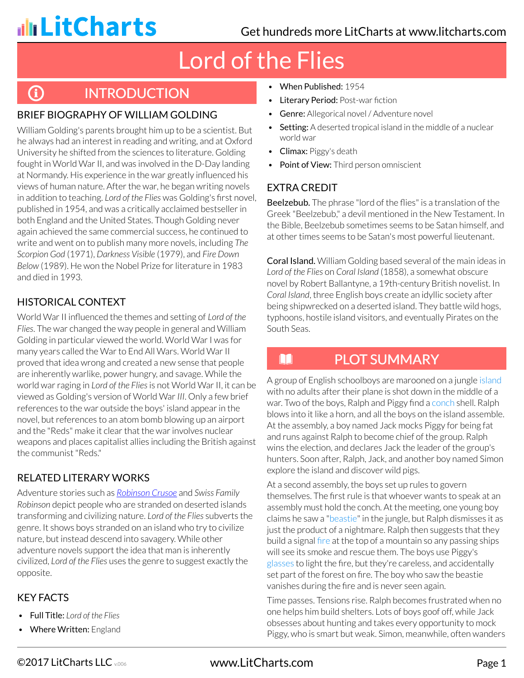**G** 

## Lord of the Flies

## **INTRODUCTION**

#### BRIEF BIOGRAPHY OF WILLIAM GOLDING

William Golding's parents brought him up to be a scientist. But he always had an interest in reading and writing, and at Oxford University he shifted from the sciences to literature. Golding fought in World War II, and was involved in the D-Day landing at Normandy. His experience in the war greatly influenced his views of human nature. After the war, he began writing novels in addition to teaching. *Lord of the Flies* was Golding's first novel, published in 1954, and was a critically acclaimed bestseller in both England and the United States. Though Golding never again achieved the same commercial success, he continued to write and went on to publish many more novels, including *The Scorpion God* (1971), *Darkness Visible* (1979), and *Fire Down Below* (1989). He won the Nobel Prize for literature in 1983 and died in 1993.

### HISTORICAL CONTEXT

World War II influenced the themes and setting of *Lord of the Flies*. The war changed the way people in general and William Golding in particular viewed the world. World War I was for many years called the War to End All Wars. World War II proved that idea wrong and created a new sense that people are inherently warlike, power hungry, and savage. While the world war raging in *Lord of the Flies* is not World War II, it can be viewed as Golding's version of World War*III*. Only a few brief references to the war outside the boys' island appear in the novel, but references to an atom bomb blowing up an airport and the "Reds" make it clear that the war involves nuclear weapons and places capitalist allies including the British against the communist "Reds."

#### RELATED LITERARY WORKS

Adventure stories such as *[Robinson Crusoe](http://www.litcharts.com/lit/robinson-crusoe)* and *Swiss Family Robinson* depict people who are stranded on deserted islands transforming and civilizing nature. *Lord of the Flies* subverts the genre. It shows boys stranded on an island who try to civilize nature, but instead descend into savagery. While other adventure novels support the idea that man is inherently civilized, *Lord of the Flies* uses the genre to suggest exactly the opposite.

#### KEY FACTS

- Full Title: *Lord of the Flies*
- Where Written: England
- When Published: 1954
- Literary Period: Post-war fiction
- Genre: Allegorical novel / Adventure novel
- Setting: A deserted tropical island in the middle of a nuclear world war
- Climax: Piggy's death
- Point of View: Third person omniscient

#### EXTRA CREDIT

n

Beelzebub. The phrase "lord of the flies" is a translation of the Greek "Beelzebub," a devil mentioned in the New Testament. In the Bible, Beelzebub sometimes seems to be Satan himself, and at other times seems to be Satan's most powerful lieutenant.

Coral Island. William Golding based several of the main ideas in *Lord of the Flies* on *Coral Island* (1858), a somewhat obscure novel by Robert Ballantyne, a 19th-century British novelist. In *Coral Island*, three English boys create an idyllic society after being shipwrecked on a deserted island. They battle wild hogs, typhoons, hostile island visitors, and eventually Pirates on the South Seas.

## PLOT SUMMARY

A group of English schoolboys are marooned on a jungle island with no adults after their plane is shot down in the middle of a war. Two of the boys, Ralph and Piggy find a conch shell. Ralph blows into it like a horn, and all the boys on the island assemble. At the assembly, a boy named Jack mocks Piggy for being fat and runs against Ralph to become chief of the group. Ralph wins the election, and declares Jack the leader of the group's hunters. Soon after, Ralph, Jack, and another boy named Simon explore the island and discover wild pigs.

At a second assembly, the boys set up rules to govern themselves. The first rule is that whoever wants to speak at an assembly must hold the conch. At the meeting, one young boy claims he saw a "beastie" in the jungle, but Ralph dismisses it as just the product of a nightmare. Ralph then suggests that they build a signal fire at the top of a mountain so any passing ships will see its smoke and rescue them. The boys use Piggy's glasses to light the fire, but they're careless, and accidentally set part of the forest on fire. The boy who saw the beastie vanishes during the fire and is never seen again.

Time passes. Tensions rise. Ralph becomes frustrated when no one helps him build shelters. Lots of boys goof off, while Jack obsesses about hunting and takes every opportunity to mock Piggy, who is smart but weak. Simon, meanwhile, often wanders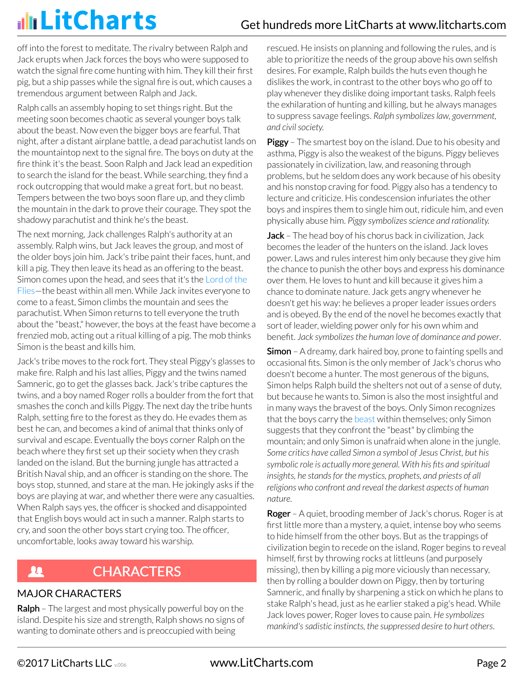off into the forest to meditate. The rivalry between Ralph and Jack erupts when Jack forces the boys who were supposed to watch the signal fire come hunting with him. They kill their first pig, but a ship passes while the signal fire is out, which causes a tremendous argument between Ralph and Jack.

Ralph calls an assembly hoping to set things right. But the meeting soon becomes chaotic as several younger boys talk about the beast. Now even the bigger boys are fearful. That night, after a distant airplane battle, a dead parachutist lands on the mountaintop next to the signal fire. The boys on duty at the fire think it's the beast. Soon Ralph and Jack lead an expedition to search the island for the beast. While searching, they find a rock outcropping that would make a great fort, but no beast. Tempers between the two boys soon flare up, and they climb the mountain in the dark to prove their courage. They spot the shadowy parachutist and think he's the beast.

The next morning, Jack challenges Ralph's authority at an assembly. Ralph wins, but Jack leaves the group, and most of the older boys join him. Jack's tribe paint their faces, hunt, and kill a pig. They then leave its head as an offering to the beast. Simon comes upon the head, and sees that it's the Lord of the Flies—the beast within all men. While Jack invites everyone to come to a feast, Simon climbs the mountain and sees the parachutist. When Simon returns to tell everyone the truth about the "beast," however, the boys at the feast have become a frenzied mob, acting out a ritual killing of a pig. The mob thinks Simon is the beast and kills him.

Jack's tribe moves to the rock fort. They steal Piggy's glasses to make fire. Ralph and his last allies, Piggy and the twins named Samneric, go to get the glasses back. Jack's tribe captures the twins, and a boy named Roger rolls a boulder from the fort that smashes the conch and kills Piggy. The next day the tribe hunts Ralph, setting fire to the forest as they do. He evades them as best he can, and becomes a kind of animal that thinks only of survival and escape. Eventually the boys corner Ralph on the beach where they first set up their society when they crash landed on the island. But the burning jungle has attracted a British Naval ship, and an officer is standing on the shore. The boys stop, stunned, and stare at the man. He jokingly asks if the boys are playing at war, and whether there were any casualties. When Ralph says yes, the officer is shocked and disappointed that English boys would act in such a manner. Ralph starts to cry, and soon the other boys start crying too. The officer, uncomfortable, looks away toward his warship.

#### **CHARACTERS A**

#### MAJOR CHARACTERS

**Ralph** – The largest and most physically powerful boy on the island. Despite his size and strength, Ralph shows no signs of wanting to dominate others and is preoccupied with being

rescued. He insists on planning and following the rules, and is able to prioritize the needs of the group above his own selfish desires. For example, Ralph builds the huts even though he dislikes the work, in contrast to the other boys who go off to play whenever they dislike doing important tasks. Ralph feels the exhilaration of hunting and killing, but he always manages to suppress savage feelings. *Ralph symbolizes law, government, and civil society.*

**Piggy** – The smartest boy on the island. Due to his obesity and asthma, Piggy is also the weakest of the biguns. Piggy believes passionately in civilization, law, and reasoning through problems, but he seldom does any work because of his obesity and his nonstop craving for food. Piggy also has a tendency to lecture and criticize. His condescension infuriates the other boys and inspires them to single him out, ridicule him, and even physically abuse him. *Piggy symbolizes science and rationality.*

Jack - The head boy of his chorus back in civilization, Jack becomes the leader of the hunters on the island. Jack loves power. Laws and rules interest him only because they give him the chance to punish the other boys and express his dominance over them. He loves to hunt and kill because it gives him a chance to dominate nature. Jack gets angry whenever he doesn't get his way: he believes a proper leader issues orders and is obeyed. By the end of the novel he becomes exactly that sort of leader, wielding power only for his own whim and benefit. *Jack symbolizes the human love of dominance and power*.

**Simon** – A dreamy, dark haired boy, prone to fainting spells and occasional fits. Simon is the only member of Jack's chorus who doesn't become a hunter. The most generous of the biguns, Simon helps Ralph build the shelters not out of a sense of duty, but because he wants to. Simon is also the most insightful and in many ways the bravest of the boys. Only Simon recognizes that the boys carry the beast within themselves; only Simon suggests that they confront the "beast" by climbing the mountain; and only Simon is unafraid when alone in the jungle. *Some critics have called Simon a symbol of Jesus Christ, but his symbolic role is actually more general. With his fits and spiritual insights, he stands for the mystics, prophets, and priests of all religions who confront and reveal the darkest aspects of human nature*.

**Roger** – A quiet, brooding member of Jack's chorus. Roger is at first little more than a mystery, a quiet, intense boy who seems to hide himself from the other boys. But as the trappings of civilization begin to recede on the island, Roger begins to reveal himself, first by throwing rocks at littleuns (and purposely missing), then by killing a pig more viciously than necessary, then by rolling a boulder down on Piggy, then by torturing Samneric, and finally by sharpening a stick on which he plans to stake Ralph's head, just as he earlier staked a pig's head. While Jack loves power, Roger loves to cause pain. *He symbolizes mankind's sadistic instincts, the suppressed desire to hurt others*.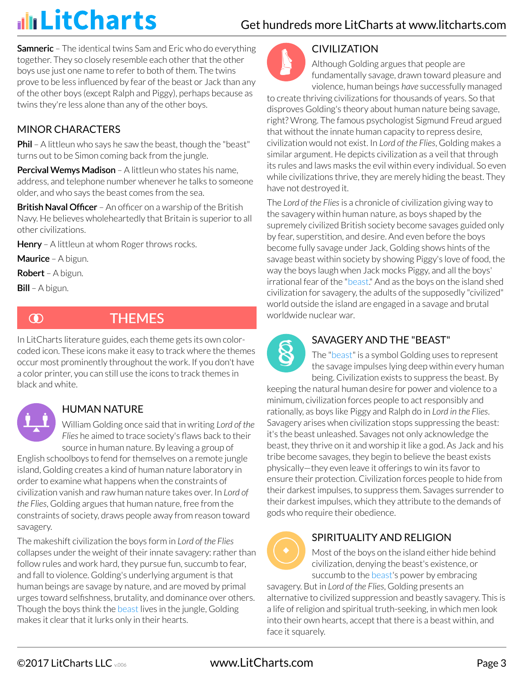## Get hundreds more LitCharts at [www.litcharts.com](https://www.litcharts.com/)

**Samneric** – The identical twins Sam and Eric who do everything together. They so closely resemble each other that the other boys use just one name to refer to both of them. The twins prove to be less influenced by fear of the beast or Jack than any of the other boys (except Ralph and Piggy), perhaps because as twins they're less alone than any of the other boys.

### MINOR CHARACTERS

**Phil** – A littleun who says he saw the beast, though the "beast" turns out to be Simon coming back from the jungle.

Percival Wemys Madison - A littleun who states his name, address, and telephone number whenever he talks to someone older, and who says the beast comes from the sea.

**British Naval Officer** – An officer on a warship of the British Navy. He believes wholeheartedly that Britain is superior to all other civilizations.

Henry - A littleun at whom Roger throws rocks.

Maurice - A bigun.

Robert – A bigun.

Bill – A bigun.



## **THEMES**

In LitCharts literature guides, each theme gets its own colorcoded icon. These icons make it easy to track where the themes occur most prominently throughout the work. If you don't have a color printer, you can still use the icons to track themes in black and white.

### HUMAN NATURE

William Golding once said that in writing *Lord of the Flies* he aimed to trace society's flaws back to their source in human nature. By leaving a group of

English schoolboys to fend for themselves on a remote jungle island, Golding creates a kind of human nature laboratory in order to examine what happens when the constraints of civilization vanish and raw human nature takes over. In *Lord of the Flies*, Golding argues that human nature, free from the constraints of society, draws people away from reason toward savagery.

The makeshift civilization the boys form in *Lord of the Flies* collapses under the weight of their innate savagery: rather than follow rules and work hard, they pursue fun, succumb to fear, and fall to violence. Golding's underlying argument is that human beings are savage by nature, and are moved by primal urges toward selfishness, brutality, and dominance over others. Though the boys think the beast lives in the jungle, Golding makes it clear that it lurks only in their hearts.



#### CIVILIZATION

Although Golding argues that people are fundamentally savage, drawn toward pleasure and violence, human beings *have* successfully managed

to create thriving civilizations for thousands of years. So that disproves Golding's theory about human nature being savage, right? Wrong. The famous psychologist Sigmund Freud argued that without the innate human capacity to repress desire, civilization would not exist. In *Lord of the Flies*, Golding makes a similar argument. He depicts civilization as a veil that through its rules and laws masks the evil within every individual. So even while civilizations thrive, they are merely hiding the beast. They have not destroyed it.

The *Lord of the Flies* is a chronicle of civilization giving way to the savagery within human nature, as boys shaped by the supremely civilized British society become savages guided only by fear, superstition, and desire. And even before the boys become fully savage under Jack, Golding shows hints of the savage beast within society by showing Piggy's love of food, the way the boys laugh when Jack mocks Piggy, and all the boys' irrational fear of the "beast." And as the boys on the island shed civilization for savagery, the adults of the supposedly "civilized" world outside the island are engaged in a savage and brutal worldwide nuclear war.



### SAVAGERY AND THE "BEAST"

The "beast" is a symbol Golding uses to represent the savage impulses lying deep within every human being. Civilization exists to suppress the beast. By

keeping the natural human desire for power and violence to a minimum, civilization forces people to act responsibly and rationally, as boys like Piggy and Ralph do in *Lord in the Flies*. Savagery arises when civilization stops suppressing the beast: it's the beast unleashed. Savages not only acknowledge the beast, they thrive on it and worship it like a god. As Jack and his tribe become savages, they begin to believe the beast exists physically—they even leave it offerings to win its favor to ensure their protection. Civilization forces people to hide from their darkest impulses, to suppress them. Savages surrender to their darkest impulses, which they attribute to the demands of gods who require their obedience.



#### SPIRITUALITY AND RELIGION

Most of the boys on the island either hide behind civilization, denying the beast's existence, or succumb to the beast's power by embracing

savagery. But in *Lord of the Flies*, Golding presents an alternative to civilized suppression and beastly savagery. This is a life of religion and spiritual truth-seeking, in which men look into their own hearts, accept that there is a beast within, and face it squarely.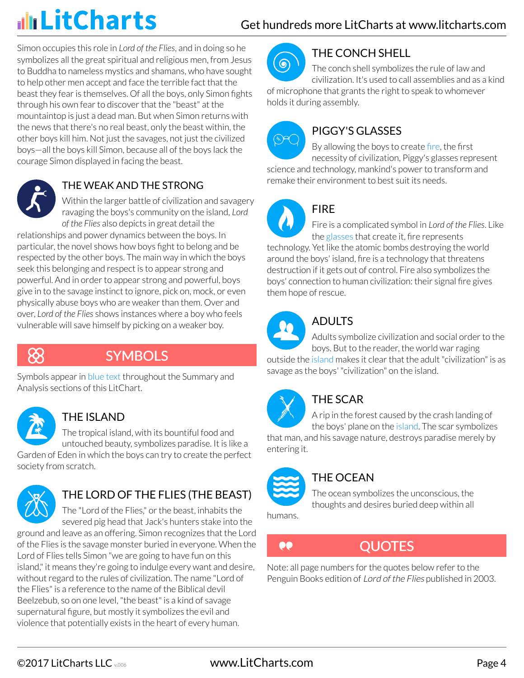Simon occupies this role in *Lord of the Flies*, and in doing so he symbolizes all the great spiritual and religious men, from Jesus to Buddha to nameless mystics and shamans, who have sought to help other men accept and face the terrible fact that the beast they fear is themselves. Of all the boys, only Simon fights through his own fear to discover that the "beast" at the mountaintop is just a dead man. But when Simon returns with the news that there's no real beast, only the beast within, the other boys kill him. Not just the savages, not just the civilized boys—all the boys kill Simon, because all of the boys lack the courage Simon displayed in facing the beast.



### THE WEAK AND THE STRONG

Within the larger battle of civilization and savagery ravaging the boys's community on the island, *Lord of the Flies* also depicts in great detail the

relationships and power dynamics between the boys. In particular, the novel shows how boys fight to belong and be respected by the other boys. The main way in which the boys seek this belonging and respect is to appear strong and powerful. And in order to appear strong and powerful, boys give in to the savage instinct to ignore, pick on, mock, or even physically abuse boys who are weaker than them. Over and over, *Lord of the Flies* shows instances where a boy who feels vulnerable will save himself by picking on a weaker boy.



## **SYMBOLS**

Symbols appear in blue text throughout the Summary and Analysis sections of this LitChart.



### THE ISLAND

The tropical island, with its bountiful food and untouched beauty, symbolizes paradise. It is like a

Garden of Eden in which the boys can try to create the perfect society from scratch.



## THE LORD OF THE FLIES (THE BEAST)

The "Lord of the Flies," or the beast, inhabits the severed pig head that Jack's hunters stake into the

ground and leave as an offering. Simon recognizes that the Lord of the Flies is the savage monster buried in everyone. When the Lord of Flies tells Simon "we are going to have fun on this island," it means they're going to indulge every want and desire, without regard to the rules of civilization. The name "Lord of the Flies" is a reference to the name of the Biblical devil Beelzebub, so on one level, "the beast" is a kind of savage supernatural figure, but mostly it symbolizes the evil and violence that potentially exists in the heart of every human.



## THE CONCH SHELL

The conch shell symbolizes the rule of law and civilization. It's used to call assemblies and as a kind

of microphone that grants the right to speak to whomever holds it during assembly.



## PIGGY'S GLASSES

By allowing the boys to create fire, the first necessity of civilization, Piggy's glasses represent science and technology, mankind's power to transform and remake their environment to best suit its needs.



## FIRE

Fire is a complicated symbol in *Lord of the Flies*. Like the glasses that create it, fire represents

technology. Yet like the atomic bombs destroying the world around the boys' island, fire is a technology that threatens destruction if it gets out of control. Fire also symbolizes the boys' connection to human civilization: their signal fire gives them hope of rescue.



## ADULTS

Adults symbolize civilization and social order to the boys. But to the reader, the world war raging outside the island makes it clear that the adult "civilization" is as

savage as the boys' "civilization" on the island.



## THE SCAR

A rip in the forest caused by the crash landing of the boys' plane on the island. The scar symbolizes

that man, and his savage nature, destroys paradise merely by entering it.



## THE OCEAN

The ocean symbolizes the unconscious, the thoughts and desires buried deep within all

humans.

 $\bullet\bullet$ 

## QUOTES

Note: all page numbers for the quotes below refer to the Penguin Books edition of Lord of the Flies published in 2003.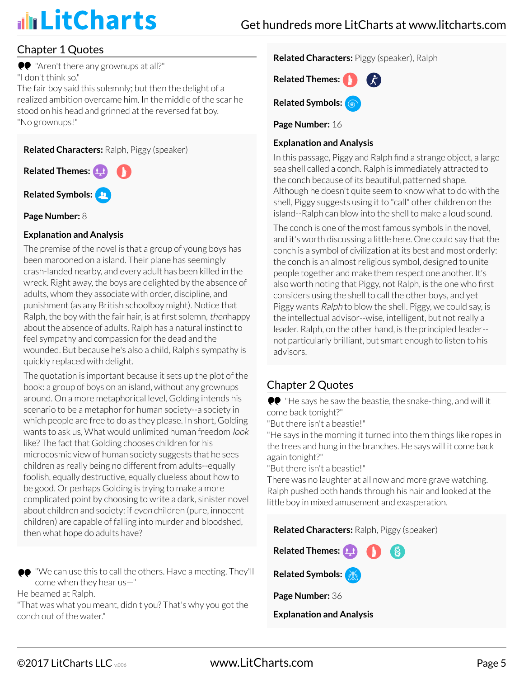### Chapter 1 Quotes

**•** "Aren't there any grownups at all?" "I don't think so."

The fair boy said this solemnly; but then the delight of a realized ambition overcame him. In the middle of the scar he stood on his head and grinned at the reversed fat boy. "No grownups!"

**Related Characters:** Ralph, Piggy (speaker)

**Related Themes: Related Symbols:**

**Page Number:** 8

#### **Explanation and Analysis**

The premise of the novel is that a group of young boys has been marooned on a island. Their plane has seemingly crash-landed nearby, and every adult has been killed in the wreck. Right away, the boys are delighted by the absence of adults, whom they associate with order, discipline, and punishment (as any British schoolboy might). Notice that Ralph, the boy with the fair hair, is at first solemn, thenhappy about the absence of adults. Ralph has a natural instinct to feel sympathy and compassion for the dead and the wounded. But because he's also a child, Ralph's sympathy is quickly replaced with delight.

The quotation is important because it sets up the plot of the book: a group of boys on an island, without any grownups around. On a more metaphorical level, Golding intends his scenario to be a metaphor for human society--a society in which people are free to do as they please. In short, Golding wants to ask us. What would unlimited human freedom *look* like? The fact that Golding chooses children for his microcosmic view of human society suggests that he sees children as really being no different from adults--equally foolish, equally destructive, equally clueless about how to be good. Or perhaps Golding is trying to make a more complicated point by choosing to write a dark, sinister novel about children and society: if even children (pure, innocent children) are capable of falling into murder and bloodshed, then what hope do adults have?

"We can use this to call the others. Have a meeting. They'll come when they hear us—"

He beamed at Ralph.

"That was what you meant, didn't you? That's why you got the conch out of the water."

#### **Related Characters:** Piggy (speaker), Ralph



**Related Symbols:**

**Page Number:** 16

#### **Explanation and Analysis**

In this passage, Piggy and Ralph find a strange object, a large sea shell called a conch. Ralph is immediately attracted to the conch because of its beautiful, patterned shape. Although he doesn't quite seem to know what to do with the shell, Piggy suggests using it to "call" other children on the island--Ralph can blow into the shell to make a loud sound.

The conch is one of the most famous symbols in the novel, and it's worth discussing a little here. One could say that the conch is a symbol of civilization at its best and most orderly: the conch is an almost religious symbol, designed to unite people together and make them respect one another. It's also worth noting that Piggy, not Ralph, is the one who first considers using the shell to call the other boys, and yet Piggy wants Ralph to blow the shell. Piggy, we could say, is the intellectual advisor--wise, intelligent, but not really a leader. Ralph, on the other hand, is the principled leader- not particularly brilliant, but smart enough to listen to his advisors.

### Chapter 2 Quotes

"He says he saw the beastie, the snake-thing, and will it come back tonight?"

"But there isn't a beastie!"

"He says in the morning it turned into them things like ropes in the trees and hung in the branches. He says will it come back again tonight?"

"But there isn't a beastie!"

There was no laughter at all now and more grave watching. Ralph pushed both hands through his hair and looked at the little boy in mixed amusement and exasperation.

**Related Characters:** Ralph, Piggy (speaker)

**Related Themes: Related Symbols: Page Number:** 36

#### **Explanation and Analysis**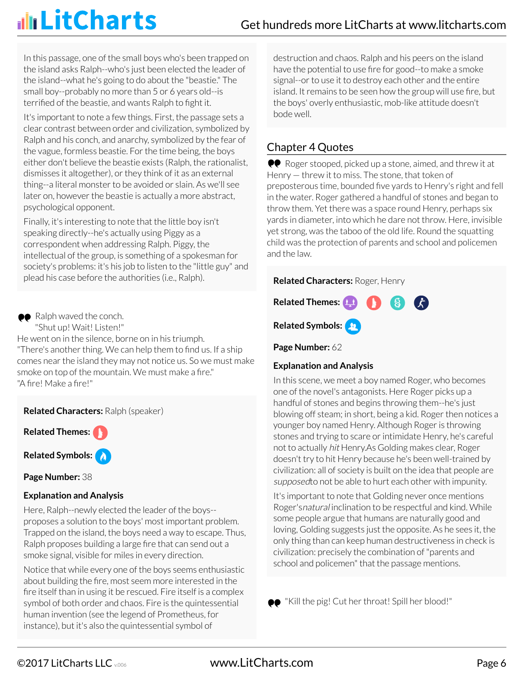In this passage, one of the small boys who's been trapped on the island asks Ralph--who's just been elected the leader of the island--what he's going to do about the "beastie." The small boy--probably no more than 5 or 6 years old--is terrified of the beastie, and wants Ralph to fight it.

It's important to note a few things. First, the passage sets a clear contrast between order and civilization, symbolized by Ralph and his conch, and anarchy, symbolized by the fear of the vague, formless beastie. For the time being, the boys either don't believe the beastie exists (Ralph, the rationalist, dismisses it altogether), or they think of it as an external thing--a literal monster to be avoided or slain. As we'll see later on, however the beastie is actually a more abstract, psychological opponent.

Finally, it's interesting to note that the little boy isn't speaking directly--he's actually using Piggy as a correspondent when addressing Ralph. Piggy, the intellectual of the group, is something of a spokesman for society's problems: it's his job to listen to the "little guy" and plead his case before the authorities (i.e., Ralph).

• Ralph waved the conch.

"Shut up! Wait! Listen!"

He went on in the silence, borne on in his triumph. "There's another thing. We can help them to find us. If a ship comes near the island they may not notice us. So we must make smoke on top of the mountain. We must make a fire." "A fire! Make a fire!"

**Related Characters:** Ralph (speaker)

**Related Themes:**

**Related Symbols:**

**Page Number:** 38

#### **Explanation and Analysis**

Here, Ralph--newly elected the leader of the boys- proposes a solution to the boys' most important problem. Trapped on the island, the boys need a way to escape. Thus, Ralph proposes building a large fire that can send out a smoke signal, visible for miles in every direction.

Notice that while every one of the boys seems enthusiastic about building the fire, most seem more interested in the fire itself than in using it be rescued. Fire itself is a complex symbol of both order and chaos. Fire is the quintessential human invention (see the legend of Prometheus, for instance), but it's also the quintessential symbol of

destruction and chaos. Ralph and his peers on the island have the potential to use fire for good--to make a smoke signal--or to use it to destroy each other and the entire island. It remains to be seen how the group will use fire, but the boys' overly enthusiastic, mob-like attitude doesn't bode well.

### Chapter 4 Quotes

**PP** Roger stooped, picked up a stone, aimed, and threw it at Henry — threw it to miss. The stone, that token of preposterous time, bounded five yards to Henry's right and fell in the water. Roger gathered a handful of stones and began to throw them. Yet there was a space round Henry, perhaps six yards in diameter, into which he dare not throw. Here, invisible yet strong, was the taboo of the old life. Round the squatting child was the protection of parents and school and policemen and the law.

#### **Related Characters:** Roger, Henry



**Page Number:** 62

#### **Explanation and Analysis**

In this scene, we meet a boy named Roger, who becomes one of the novel's antagonists. Here Roger picks up a handful of stones and begins throwing them--he's just blowing off steam; in short, being a kid. Roger then notices a younger boy named Henry. Although Roger is throwing stones and trying to scare or intimidate Henry, he's careful not to actually hit Henry.As Golding makes clear, Roger doesn't try to hit Henry because he's been well-trained by civilization: all of society is built on the idea that people are supposed to not be able to hurt each other with impunity.

It's important to note that Golding never once mentions Roger'snatural inclination to be respectful and kind. While some people argue that humans are naturally good and loving, Golding suggests just the opposite. As he sees it, the only thing than can keep human destructiveness in check is civilization: precisely the combination of "parents and school and policemen" that the passage mentions.

●● "Kill the pig! Cut her throat! Spill her blood!"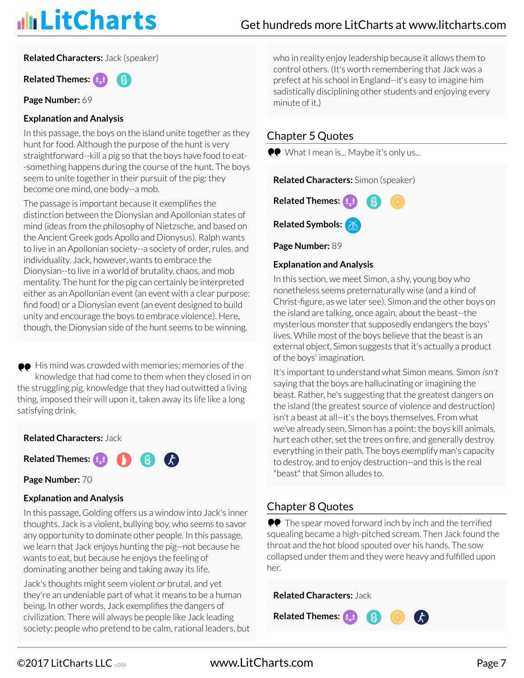**Related Characters:** Jack (speaker)

**Related Themes:**

**Page Number:** 69

#### **Explanation and Analysis**

In this passage, the boys on the island unite together as they hunt for food. Although the purpose of the hunt is very straightforward--kill a pig so that the boys have food to eat- -something happens during the course of the hunt. The boys seem to unite together in their pursuit of the pig: they become one mind, one body--a mob.

The passage is important because it exemplifies the distinction between the Dionysian and Apollonian states of mind (ideas from the philosophy of Nietzsche, and based on the Ancient Greek gods Apollo and Dionysus). Ralph wants to live in an Apollonian society--a society of order, rules, and individuality. Jack, however, wants to embrace the Dionysian--to live in a world of brutality, chaos, and mob mentality. The hunt for the pig can certainly be interpreted either as an Apollonian event (an event with a clear purpose: find food) or a Dionysian event (an event designed to build unity and encourage the boys to embrace violence). Here, though, the Dionysian side of the hunt seems to be winning.

 $\bullet\bullet$  His mind was crowded with memories; memories of the knowledge that had come to them when they closed in on the struggling pig, knowledge that they had outwitted a living thing, imposed their will upon it, taken away its life like a long satisfying drink.

#### **Related Characters:** Jack

Related Themes: **1.1 8 8 73** 

**Page Number:** 70

#### **Explanation and Analysis**

In this passage, Golding offers us a window into Jack's inner thoughts. Jack is a violent, bullying boy, who seems to savor any opportunity to dominate other people. In this passage, we learn that Jack enjoys hunting the pig--not because he wants to eat, but because he enjoys the feeling of dominating another being and taking away its life.

Jack's thoughts might seem violent or brutal, and yet they're an undeniable part of what it means to be a human being. In other words, Jack exemplifies the dangers of civilization. There will always be people like Jack leading society: people who pretend to be calm, rational leaders, but who in reality enjoy leadership because it allows them to control others. (It's worth remembering that Jack was a prefect at his school in England--it's easy to imagine him sadistically disciplining other students and enjoying every minute of it.)

### Chapter 5 Quotes

**CO** What I mean is... Maybe it's only us...

**Related Characters:** Simon (speaker)



**Page Number:** 89

#### **Explanation and Analysis**

In this section, we meet Simon, a shy, young boy who nonetheless seems preternaturally wise (and a kind of Christ-figure, as we later see). Simon and the other boys on the island are talking, once again, about the beast--the mysterious monster that supposedly endangers the boys' lives. While most of the boys believe that the beast is an external object, Simon suggests that it's actually a product of the boys' imagination.

It's important to understand what Simon means. Simon isn't saying that the boys are hallucinating or imagining the beast. Rather, he's suggesting that the greatest dangers on the island (the greatest source of violence and destruction) isn't a beast at all--it's the boys themselves. From what we've already seen, Simon has a point: the boys kill animals, hurt each other, set the trees on fire, and generally destroy everything in their path. The boys exemplify man's capacity to destroy, and to enjoy destruction--and this is the real "beast" that Simon alludes to.

### Chapter 8 Quotes

 $\bullet\bullet$  The spear moved forward inch by inch and the terrified squealing became a high-pitched scream. Then Jack found the throat and the hot blood spouted over his hands. The sow collapsed under them and they were heavy and fulfilled upon her.

**8** 

 $\mathcal{L}$ 

**Related Characters:** Jack

**Related Themes:**

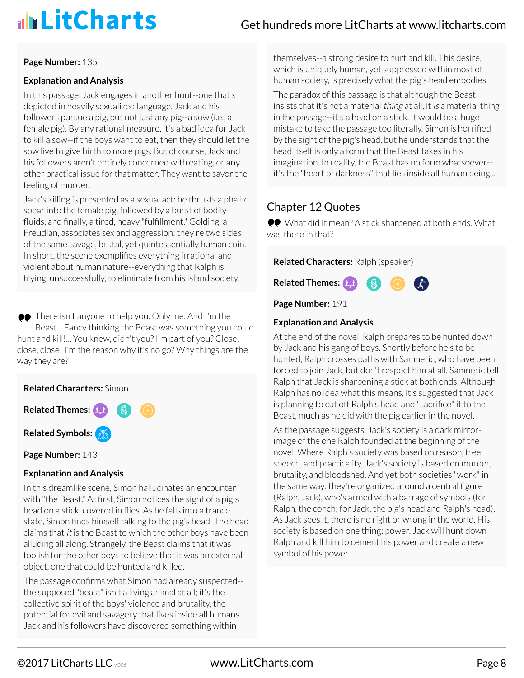#### **Page Number:** 135

#### **Explanation and Analysis**

In this passage, Jack engages in another hunt--one that's depicted in heavily sexualized language. Jack and his followers pursue a pig, but not just any pig--a sow (i.e., a female pig). By any rational measure, it's a bad idea for Jack to kill a sow--if the boys want to eat, then they should let the sow live to give birth to more pigs. But of course, Jack and his followers aren't entirely concerned with eating, or any other practical issue for that matter. They want to savor the feeling of murder.

Jack's killing is presented as a sexual act: he thrusts a phallic spear into the female pig, followed by a burst of bodily fluids, and finally, a tired, heavy "fulfillment." Golding, a Freudian, associates sex and aggression: they're two sides of the same savage, brutal, yet quintessentially human coin. In short, the scene exemplifies everything irrational and violent about human nature--everything that Ralph is trying, unsuccessfully, to eliminate from his island society.

●● There isn't anyone to help you. Only me. And I'm the Beast... Fancy thinking the Beast was something you could hunt and kill!... You knew, didn't you? I'm part of you? Close, close, close! I'm the reason why it's no go? Why things are the way they are?

**Related Characters:** Simon **Related Themes:**  $\left( 8 \right)$ **Related Symbols:**

Page Number: 143

#### **Explanation and Analysis**

In this dreamlike scene, Simon hallucinates an encounter with "the Beast." At first, Simon notices the sight of a pig's head on a stick, covered in flies. As he falls into a trance state, Simon finds himself talking to the pig's head. The head claims that it is the Beast to which the other boys have been alluding all along. Strangely, the Beast claims that it was foolish for the other boys to believe that it was an external object, one that could be hunted and killed.

The passage confirms what Simon had already suspected- the supposed "beast" isn't a living animal at all; it's the collective spirit of the boys' violence and brutality, the potential for evil and savagery that lives inside all humans. Jack and his followers have discovered something within

themselves--a strong desire to hurt and kill. This desire, which is uniquely human, yet suppressed within most of human society, is precisely what the pig's head embodies.

The paradox of this passage is that although the Beast insists that it's not a material *thing* at all, it *is* a material thing in the passage--it's a head on a stick. It would be a huge mistake to take the passage too literally. Simon is horrified by the sight of the pig's head, but he understands that the head itself is only a form that the Beast takes in his imagination. In reality, the Beast has no form whatsoever- it's the "heart of darkness" that lies inside all human beings.

#### Chapter 12 Quotes

What did it mean? A stick sharpened at both ends. What was there in that?

**Related Characters:** Ralph (speaker)



**Page Number:** 191

#### **Explanation and Analysis**

At the end of the novel, Ralph prepares to be hunted down by Jack and his gang of boys. Shortly before he's to be hunted, Ralph crosses paths with Samneric, who have been forced to join Jack, but don't respect him at all. Samneric tell Ralph that Jack is sharpening a stick at both ends. Although Ralph has no idea what this means, it's suggested that Jack is planning to cut off Ralph's head and "sacrifice" it to the Beast, much as he did with the pig earlier in the novel.

As the passage suggests, Jack's society is a dark mirrorimage of the one Ralph founded at the beginning of the novel. Where Ralph's society was based on reason, free speech, and practicality, Jack's society is based on murder, brutality, and bloodshed. And yet both societies "work" in the same way: they're organized around a central figure (Ralph, Jack), who's armed with a barrage of symbols (for Ralph, the conch; for Jack, the pig's head and Ralph's head). As Jack sees it, there is no right or wrong in the world. His society is based on one thing: power. Jack will hunt down Ralph and kill him to cement his power and create a new symbol of his power.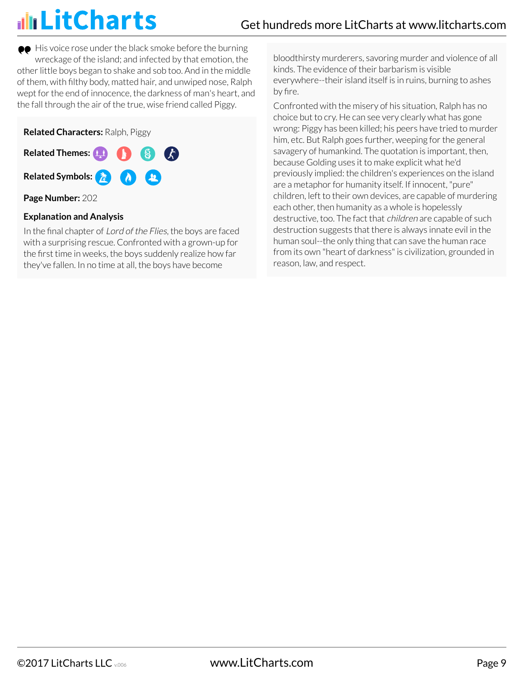$\bullet\bullet$  His voice rose under the black smoke before the burning wreckage of the island; and infected by that emotion, the other little boys began to shake and sob too. And in the middle of them, with filthy body, matted hair, and unwiped nose, Ralph wept for the end of innocence, the darkness of man's heart, and the fall through the air of the true, wise friend called Piggy.

**Related Characters:** Ralph, Piggy

**Related Themes: Ca Related Symbols:**

**Page Number:** 202

#### **Explanation and Analysis**

In the final chapter of Lord of the Flies, the boys are faced with a surprising rescue. Confronted with a grown-up for the first time in weeks, the boys suddenly realize how far they've fallen. In no time at all, the boys have become

bloodthirsty murderers, savoring murder and violence of all kinds. The evidence of their barbarism is visible everywhere--their island itself is in ruins, burning to ashes by fire.

Confronted with the misery of his situation, Ralph has no choice but to cry. He can see very clearly what has gone wrong: Piggy has been killed; his peers have tried to murder him, etc. But Ralph goes further, weeping for the general savagery of humankind. The quotation is important, then, because Golding uses it to make explicit what he'd previously implied: the children's experiences on the island are a metaphor for humanity itself. If innocent, "pure" children, left to their own devices, are capable of murdering each other, then humanity as a whole is hopelessly destructive, too. The fact that children are capable of such destruction suggests that there is always innate evil in the human soul--the only thing that can save the human race from its own "heart of darkness" is civilization, grounded in reason, law, and respect.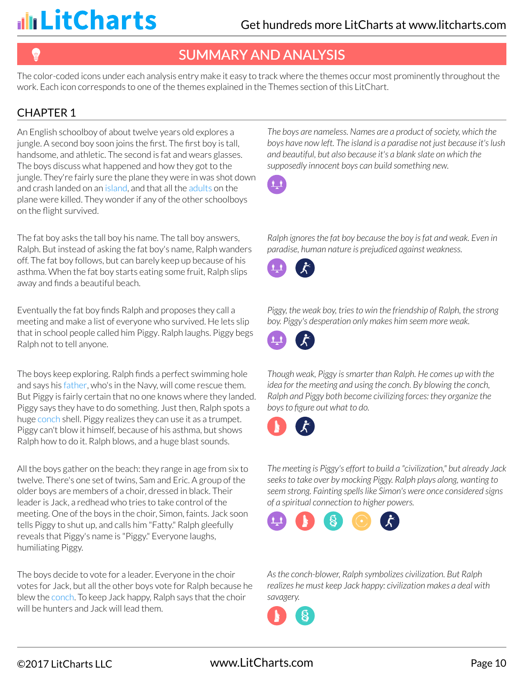## SUMMARY AND ANALYSIS

The color-coded icons under each analysis entry make it easy to track where the themes occur most prominently throughout the work. Each icon corresponds to one of the themes explained in the Themes section of this LitChart.

### CHAPTER 1

An English schoolboy of about twelve years old explores a jungle. A second boy soon joins the first. The first boy is tall, handsome, and athletic. The second is fat and wears glasses. The boys discuss what happened and how they got to the jungle. They're fairly sure the plane they were in was shot down and crash landed on an island, and that all the adults on the plane were killed. They wonder if any of the other schoolboys on the flight survived.

The fat boy asks the tall boy his name. The tall boy answers, Ralph. But instead of asking the fat boy's name, Ralph wanders off. The fat boy follows, but can barely keep up because of his asthma. When the fat boy starts eating some fruit, Ralph slips away and finds a beautiful beach.

Eventually the fat boy finds Ralph and proposes they call a meeting and make a list of everyone who survived. He lets slip that in school people called him Piggy. Ralph laughs. Piggy begs Ralph not to tell anyone.

The boys keep exploring. Ralph finds a perfect swimming hole and says his father, who's in the Navy, will come rescue them. But Piggy is fairly certain that no one knows where they landed. Piggy says they have to do something. Just then, Ralph spots a huge conch shell. Piggy realizes they can use it as a trumpet. Piggy can't blow it himself, because of his asthma, but shows Ralph how to do it. Ralph blows, and a huge blast sounds.

All the boys gather on the beach: they range in age from six to twelve. There's one set of twins, Sam and Eric. A group of the older boys are members of a choir, dressed in black. Their leader is Jack, a redhead who tries to take control of the meeting. One of the boys in the choir, Simon, faints. Jack soon tells Piggy to shut up, and calls him "Fatty." Ralph gleefully reveals that Piggy's name is "Piggy." Everyone laughs, humiliating Piggy.

The boys decide to vote for a leader. Everyone in the choir votes for Jack, but all the other boys vote for Ralph because he blew the conch. To keep Jack happy, Ralph says that the choir will be hunters and Jack will lead them.

*The boys are nameless. Names are a product of society, which the boys have now left. The island is a paradise not just because it's lush and beautiful, but also because it's a blank slate on which the supposedly innocent boys can build something new.*



*Ralph ignores the fat boy because the boy is fat and weak. Even in paradise, human nature is prejudiced against weakness.*



*Piggy, the weak boy, tries to win the friendship of Ralph, the strong boy. Piggy's desperation only makes him seem more weak.*



*Though weak, Piggy is smarter than Ralph. He comes up with the idea for the meeting and using the conch. By blowing the conch, Ralph and Piggy both become civilizing forces: they organize the boys to figure out what to do.*



*The meeting is Piggy's effort to build a "civilization," but already Jack seeks to take over by mocking Piggy. Ralph plays along, wanting to seem strong. Fainting spells like Simon's were once considered signs of a spiritual connection to higher powers.*



*As the conch-blower, Ralph symbolizes civilization. But Ralph realizes he must keep Jack happy: civilization makes a deal with savagery.*

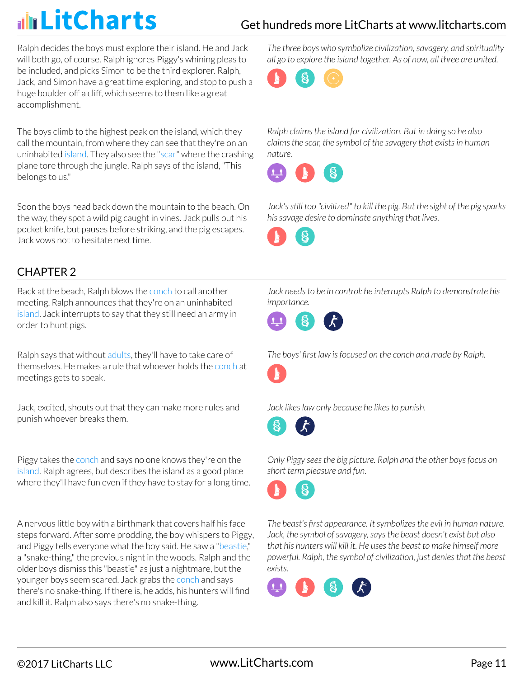## Get hundreds more LitCharts at [www.litcharts.com](https://www.litcharts.com/)

Ralph decides the boys must explore their island. He and Jack will both go, of course. Ralph ignores Piggy's whining pleas to be included, and picks Simon to be the third explorer. Ralph, Jack, and Simon have a great time exploring, and stop to push a huge boulder off a cliff, which seems to them like a great accomplishment.

The boys climb to the highest peak on the island, which they call the mountain, from where they can see that they're on an uninhabited island. They also see the "scar" where the crashing plane tore through the jungle. Ralph says of the island, "This belongs to us."

Soon the boys head back down the mountain to the beach. On the way, they spot a wild pig caught in vines. Jack pulls out his pocket knife, but pauses before striking, and the pig escapes. Jack vows not to hesitate next time.

### CHAPTER 2

Back at the beach, Ralph blows the conch to call another meeting. Ralph announces that they're on an uninhabited island. Jack interrupts to say that they still need an army in order to hunt pigs.

Ralph says that without adults, they'll have to take care of themselves. He makes a rule that whoever holds the conch at meetings gets to speak.

Jack, excited, shouts out that they can make more rules and punish whoever breaks them.

Piggy takes the conch and says no one knows they're on the island. Ralph agrees, but describes the island as a good place where they'll have fun even if they have to stay for a long time.

A nervous little boy with a birthmark that covers half his face steps forward. After some prodding, the boy whispers to Piggy, and Piggy tells everyone what the boy said. He saw a "beastie," a "snake-thing," the previous night in the woods. Ralph and the older boys dismiss this "beastie" as just a nightmare, but the younger boys seem scared. Jack grabs the conch and says there's no snake-thing. If there is, he adds, his hunters will find and kill it. Ralph also says there's no snake-thing.

*The three boys who symbolize civilization, savagery, and spirituality all go to explore the island together. As of now, all three are united.*



*Ralph claims the island for civilization. But in doing so he also claims the scar, the symbol of the savagery that exists in human nature.*



*Jack's still too "civilized" to kill the pig. But the sight of the pig sparks his savage desire to dominate anything that lives.*



*Jack needs to be in control: he interrupts Ralph to demonstrate his importance.*



*The boys' first law is focused on the conch and made by Ralph.*



*Jack likes law only because he likes to punish.*



*Only Piggy sees the big picture. Ralph and the other boys focus on short term pleasure and fun.*



*The beast's first appearance. It symbolizes the evil in human nature. Jack, the symbol of savagery, says the beast doesn't exist but also that his hunters will kill it. He uses the beast to make himself more powerful. Ralph, the symbol of civilization, just denies that the beast exists.*

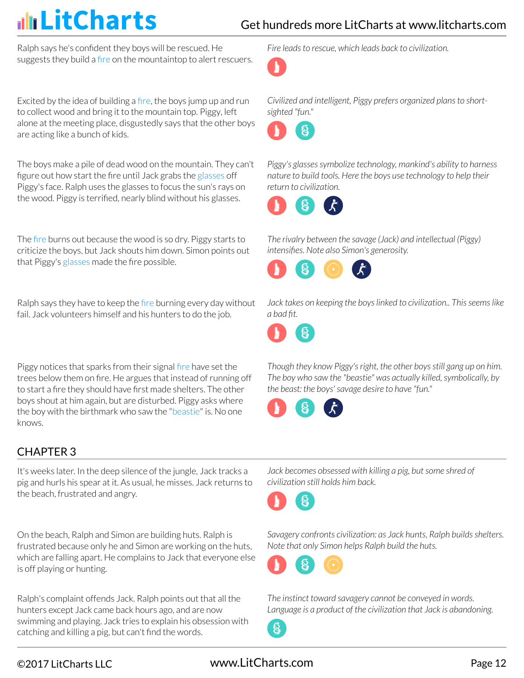Ralph says he's confident they boys will be rescued. He suggests they build a fire on the mountaintop to alert rescuers.

Excited by the idea of building a fire, the boys jump up and run to collect wood and bring it to the mountain top. Piggy, left alone at the meeting place, disgustedly says that the other boys are acting like a bunch of kids.

The boys make a pile of dead wood on the mountain. They can't figure out how start the fire until Jack grabs the glasses off Piggy's face. Ralph uses the glasses to focus the sun's rays on the wood. Piggy is terrified, nearly blind without his glasses.

The fire burns out because the wood is so dry. Piggy starts to criticize the boys, but Jack shouts him down. Simon points out that Piggy's glasses made the fire possible.

Ralph says they have to keep the fire burning every day without fail. Jack volunteers himself and his hunters to do the job.

Piggy notices that sparks from their signal fire have set the trees below them on fire. He argues that instead of running off to start a fire they should have first made shelters. The other boys shout at him again, but are disturbed. Piggy asks where the boy with the birthmark who saw the "beastie" is. No one knows.

### CHAPTER 3

It's weeks later. In the deep silence of the jungle, Jack tracks a pig and hurls his spear at it. As usual, he misses. Jack returns to the beach, frustrated and angry.

On the beach, Ralph and Simon are building huts. Ralph is frustrated because only he and Simon are working on the huts, which are falling apart. He complains to Jack that everyone else is off playing or hunting.

Ralph's complaint offends Jack. Ralph points out that all the hunters except Jack came back hours ago, and are now swimming and playing. Jack tries to explain his obsession with catching and killing a pig, but can't find the words.

*Fire leads to rescue, which leads back to civilization.*



*Civilized and intelligent, Piggy prefers organized plans to shortsighted "fun."*



*Piggy's glasses symbolize technology, mankind's ability to harness nature to build tools. Here the boys use technology to help their return to civilization.*



*The rivalry between the savage (Jack) and intellectual (Piggy) intensifies. Note also Simon's generosity.*



*Jack takes on keeping the boys linked to civilization.. This seems like a bad fit.*



*Though they know Piggy's right, the other boys still gang up on him. The boy who saw the "beastie" was actually killed, symbolically, by the beast: the boys' savage desire to have "fun."*



*Jack becomes obsessed with killing a pig, but some shred of civilization still holds him back.*



*Savagery confronts civilization: as Jack hunts, Ralph builds shelters. Note that only Simon helps Ralph build the huts.*



*The instinct toward savagery cannot be conveyed in words. Language is a product of the civilization that Jack is abandoning.*

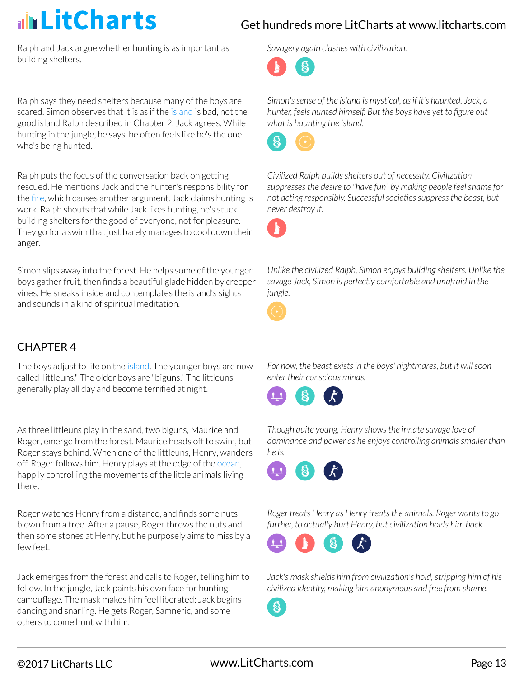Ralph and Jack argue whether hunting is as important as building shelters.

Ralph says they need shelters because many of the boys are scared. Simon observes that it is as if the island is bad, not the good island Ralph described in Chapter 2. Jack agrees. While hunting in the jungle, he says, he often feels like he's the one who's being hunted.

Ralph puts the focus of the conversation back on getting rescued. He mentions Jack and the hunter's responsibility for the fire, which causes another argument. Jack claims hunting is work. Ralph shouts that while Jack likes hunting, he's stuck building shelters for the good of everyone, not for pleasure. They go for a swim that just barely manages to cool down their anger.

Simon slips away into the forest. He helps some of the younger boys gather fruit, then finds a beautiful glade hidden by creeper vines. He sneaks inside and contemplates the island's sights and sounds in a kind of spiritual meditation.

### CHAPTER 4

The boys adjust to life on the island. The younger boys are now called 'littleuns." The older boys are "biguns." The littleuns generally play all day and become terrified at night.

As three littleuns play in the sand, two biguns, Maurice and Roger, emerge from the forest. Maurice heads off to swim, but Roger stays behind. When one of the littleuns, Henry, wanders off, Roger follows him. Henry plays at the edge of the ocean, happily controlling the movements of the little animals living there.

Roger watches Henry from a distance, and finds some nuts blown from a tree. After a pause, Roger throws the nuts and then some stones at Henry, but he purposely aims to miss by a few feet.

Jack emerges from the forest and calls to Roger, telling him to follow. In the jungle, Jack paints his own face for hunting camouflage. The mask makes him feel liberated: Jack begins dancing and snarling. He gets Roger, Samneric, and some others to come hunt with him.

*Savagery again clashes with civilization.*



*Simon's sense of the island is mystical, as if it's haunted. Jack, a hunter, feels hunted himself. But the boys have yet to figure out what is haunting the island.*



*Civilized Ralph builds shelters out of necessity. Civilization suppresses the desire to "have fun" by making people feel shame for not acting responsibly. Successful societies suppress the beast, but never destroy it.*



*Unlike the civilized Ralph, Simon enjoys building shelters. Unlike the savage Jack, Simon is perfectly comfortable and unafraid in the jungle.*



*For now, the beast exists in the boys' nightmares, but it will soon enter their conscious minds.*



*Though quite young, Henry shows the innate savage love of dominance and power as he enjoys controlling animals smaller than he is.*



*Roger treats Henry as Henry treats the animals. Roger wants to go further, to actually hurt Henry, but civilization holds him back.*



*Jack's mask shields him from civilization's hold, stripping him of his civilized identity, making him anonymous and free from shame.*

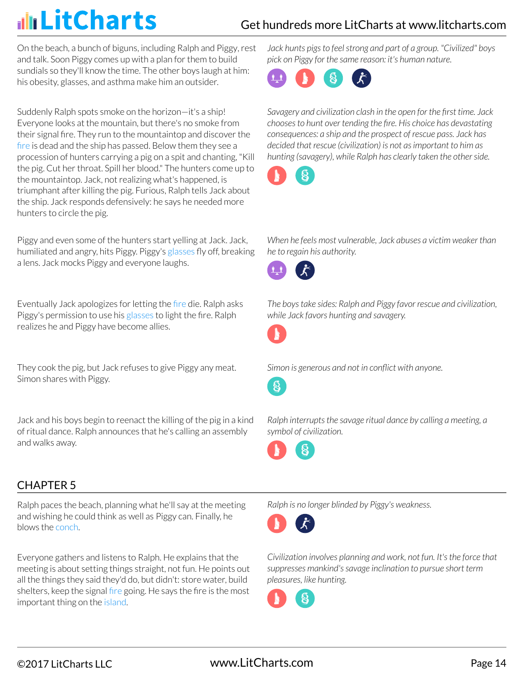### Get hundreds more LitCharts at [www.litcharts.com](https://www.litcharts.com/)

On the beach, a bunch of biguns, including Ralph and Piggy, rest and talk. Soon Piggy comes up with a plan for them to build sundials so they'll know the time. The other boys laugh at him: his obesity, glasses, and asthma make him an outsider.

Suddenly Ralph spots smoke on the horizon—it's a ship! Everyone looks at the mountain, but there's no smoke from their signal fire. They run to the mountaintop and discover the fire is dead and the ship has passed. Below them they see a procession of hunters carrying a pig on a spit and chanting, "Kill the pig. Cut her throat. Spill her blood." The hunters come up to the mountaintop. Jack, not realizing what's happened, is triumphant after killing the pig. Furious, Ralph tells Jack about the ship. Jack responds defensively: he says he needed more hunters to circle the pig.

Piggy and even some of the hunters start yelling at Jack. Jack, humiliated and angry, hits Piggy. Piggy's glasses fly off, breaking a lens. Jack mocks Piggy and everyone laughs.

Eventually Jack apologizes for letting the fire die. Ralph asks Piggy's permission to use his glasses to light the fire. Ralph realizes he and Piggy have become allies.

They cook the pig, but Jack refuses to give Piggy any meat. Simon shares with Piggy.

Jack and his boys begin to reenact the killing of the pig in a kind of ritual dance. Ralph announces that he's calling an assembly and walks away.

### CHAPTER 5

Ralph paces the beach, planning what he'll say at the meeting and wishing he could think as well as Piggy can. Finally, he blows the conch.

Everyone gathers and listens to Ralph. He explains that the meeting is about setting things straight, not fun. He points out all the things they said they'd do, but didn't: store water, build shelters, keep the signal fire going. He says the fire is the most important thing on the island.

*Jack hunts pigs to feel strong and part of a group. "Civilized" boys pick on Piggy for the same reason: it's human nature.*



*Savagery and civilization clash in the open for the first time. Jack chooses to hunt over tending the fire. His choice has devastating consequences: a ship and the prospect of rescue pass. Jack has decided that rescue (civilization) is not as important to him as hunting (savagery), while Ralph has clearly taken the other side.*



*When he feels most vulnerable, Jack abuses a victim weaker than he to regain his authority.*



*The boys take sides: Ralph and Piggy favor rescue and civilization, while Jack favors hunting and savagery.*





*Simon is generous and not in conflict with anyone.*



*Ralph interrupts the savage ritual dance by calling a meeting, a symbol of civilization.*



*Ralph is no longer blinded by Piggy's weakness.*



*Civilization involves planning and work, not fun. It's the force that suppresses mankind's savage inclination to pursue short term pleasures, like hunting.*

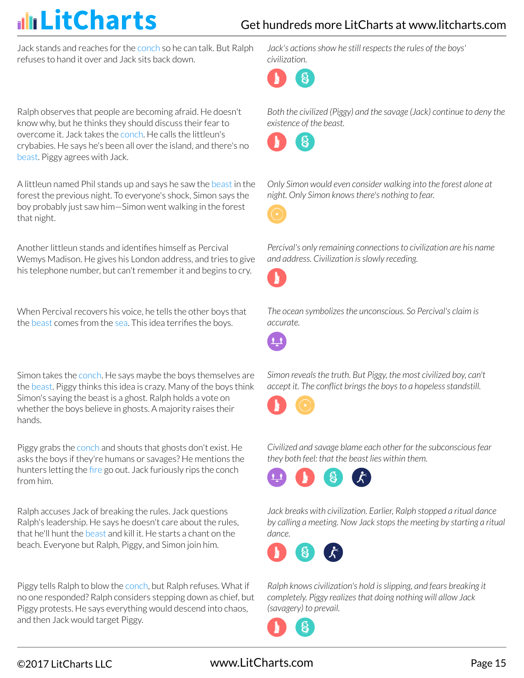### Get hundreds more LitCharts at [www.litcharts.com](https://www.litcharts.com/)

Jack stands and reaches for the conch so he can talk. But Ralph refuses to hand it over and Jack sits back down.

Ralph observes that people are becoming afraid. He doesn't know why, but he thinks they should discuss their fear to overcome it. Jack takes the conch. He calls the littleun's crybabies. He says he's been all over the island, and there's no beast. Piggy agrees with Jack.

A littleun named Phil stands up and says he saw the beast in the forest the previous night. To everyone's shock, Simon says the boy probably just saw him—Simon went walking in the forest that night.

Another littleun stands and identifies himself as Percival Wemys Madison. He gives his London address, and tries to give his telephone number, but can't remember it and begins to cry.

When Percival recovers his voice, he tells the other boys that the beast comes from the sea. This idea terrifies the boys.

Simon takes the conch. He says maybe the boys themselves are the beast. Piggy thinks this idea is crazy. Many of the boys think Simon's saying the beast is a ghost. Ralph holds a vote on whether the boys believe in ghosts. A majority raises their hands.

Piggy grabs the conch and shouts that ghosts don't exist. He asks the boys if they're humans or savages? He mentions the hunters letting the fire go out. Jack furiously rips the conch from him.

Ralph accuses Jack of breaking the rules. Jack questions Ralph's leadership. He says he doesn't care about the rules, that he'll hunt the beast and kill it. He starts a chant on the beach. Everyone but Ralph, Piggy, and Simon join him.

Piggy tells Ralph to blow the conch, but Ralph refuses. What if no one responded? Ralph considers stepping down as chief, but Piggy protests. He says everything would descend into chaos, and then Jack would target Piggy.

*Jack's actions show he still respects the rules of the boys' civilization.*



*Both the civilized (Piggy) and the savage (Jack) continue to deny the existence of the beast.*



*Only Simon would even consider walking into the forest alone at night. Only Simon knows there's nothing to fear.*



*Percival's only remaining connections to civilization are his name and address. Civilization is slowly receding.*



*The ocean symbolizes the unconscious. So Percival's claim is accurate.*



*Simon reveals the truth. But Piggy, the most civilized boy, can't accept it. The conflict brings the boys to a hopeless standstill.*



*Civilized and savage blame each other for the subconscious fear they both feel: that the beast lies within them.*



*Jack breaks with civilization. Earlier, Ralph stopped a ritual dance by calling a meeting. Now Jack stops the meeting by starting a ritual dance.*



*Ralph knows civilization's hold is slipping, and fears breaking it completely. Piggy realizes that doing nothing will allow Jack (savagery) to prevail.*

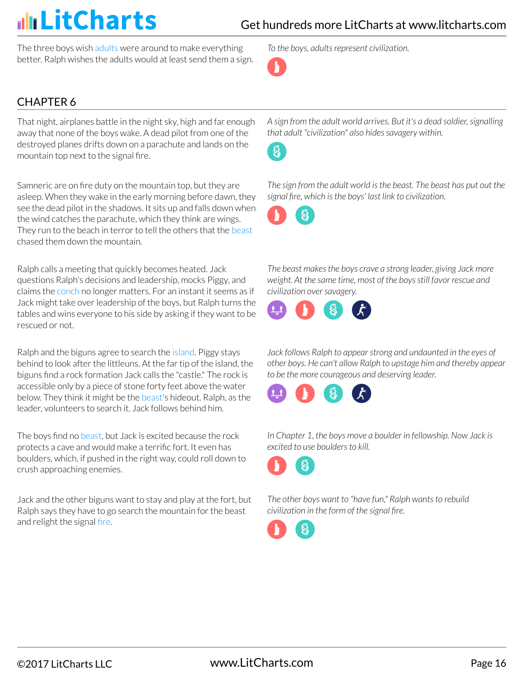The three boys wish adults were around to make everything better. Ralph wishes the adults would at least send them a sign. *To the boys, adults represent civilization.*



### CHAPTER 6

That night, airplanes battle in the night sky, high and far enough away that none of the boys wake. A dead pilot from one of the destroyed planes drifts down on a parachute and lands on the mountain top next to the signal fire.

Samneric are on fire duty on the mountain top, but they are asleep. When they wake in the early morning before dawn, they see the dead pilot in the shadows. It sits up and falls down when the wind catches the parachute, which they think are wings. They run to the beach in terror to tell the others that the beast chased them down the mountain.

Ralph calls a meeting that quickly becomes heated. Jack questions Ralph's decisions and leadership, mocks Piggy, and claims the conch no longer matters. For an instant it seems as if Jack might take over leadership of the boys, but Ralph turns the tables and wins everyone to his side by asking if they want to be rescued or not.

Ralph and the biguns agree to search the island. Piggy stays behind to look after the littleuns. At the far tip of the island, the biguns find a rock formation Jack calls the "castle." The rock is accessible only by a piece of stone forty feet above the water below. They think it might be the beast's hideout. Ralph, as the leader, volunteers to search it. Jack follows behind him.

The boys find no beast, but Jack is excited because the rock protects a cave and would make a terrific fort. It even has boulders, which, if pushed in the right way, could roll down to crush approaching enemies.

Jack and the other biguns want to stay and play at the fort, but Ralph says they have to go search the mountain for the beast and relight the signal fire.

*A sign from the adult world arrives. But it's a dead soldier, signalling that adult "civilization" also hides savagery within.*



*The sign from the adult world is the beast. The beast has put out the signal fire, which is the boys' last link to civilization.*



*The beast makes the boys crave a strong leader, giving Jack more weight. At the same time, most of the boys still favor rescue and civilization over savagery.*



*Jack follows Ralph to appear strong and undaunted in the eyes of other boys. He can't allow Ralph to upstage him and thereby appear to be the more courageous and deserving leader.*



*In Chapter 1, the boys move a boulder in fellowship. Now Jack is excited to use boulders to kill.*



*The other boys want to "have fun," Ralph wants to rebuild civilization in the form of the signal fire.*

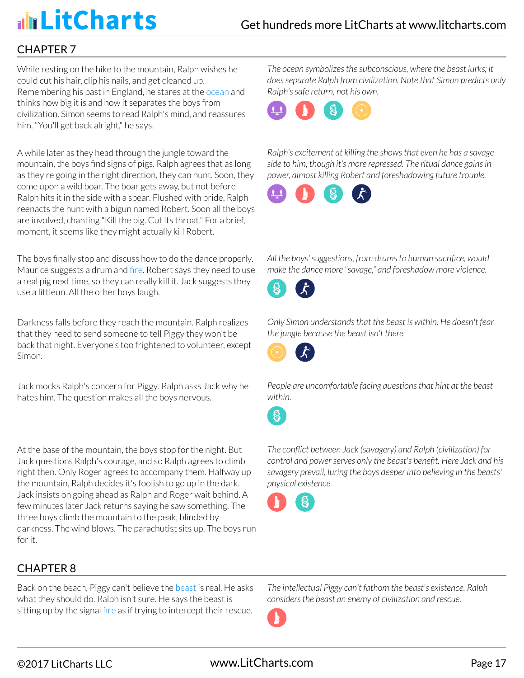### CHAPTER 7

While resting on the hike to the mountain, Ralph wishes he could cut his hair, clip his nails, and get cleaned up. Remembering his past in England, he stares at the ocean and thinks how big it is and how it separates the boys from civilization. Simon seems to read Ralph's mind, and reassures him. "You'll get back alright," he says.

A while later as they head through the jungle toward the mountain, the boys find signs of pigs. Ralph agrees that as long as they're going in the right direction, they can hunt. Soon, they come upon a wild boar. The boar gets away, but not before Ralph hits it in the side with a spear. Flushed with pride, Ralph reenacts the hunt with a bigun named Robert. Soon all the boys are involved, chanting "Kill the pig. Cut its throat." For a brief, moment, it seems like they might actually kill Robert.

The boys finally stop and discuss how to do the dance properly. Maurice suggests a drum and fire. Robert says they need to use a real pig next time, so they can really kill it. Jack suggests they use a littleun. All the other boys laugh.

Darkness falls before they reach the mountain. Ralph realizes that they need to send someone to tell Piggy they won't be back that night. Everyone's too frightened to volunteer, except Simon.

Jack mocks Ralph's concern for Piggy. Ralph asks Jack why he hates him. The question makes all the boys nervous.

At the base of the mountain, the boys stop for the night. But Jack questions Ralph's courage, and so Ralph agrees to climb right then. Only Roger agrees to accompany them. Halfway up the mountain, Ralph decides it's foolish to go up in the dark. Jack insists on going ahead as Ralph and Roger wait behind. A few minutes later Jack returns saying he saw something. The three boys climb the mountain to the peak, blinded by darkness. The wind blows. The parachutist sits up. The boys run for it.

CHAPTER 8

Back on the beach, Piggy can't believe the beast is real. He asks what they should do. Ralph isn't sure. He says the beast is sitting up by the signal fire as if trying to intercept their rescue. *The ocean symbolizes the subconscious, where the beast lurks; it does separate Ralph from civilization. Note that Simon predicts only Ralph's safe return, not his own.*



*Ralph's excitement at killing the shows that even he has a savage side to him, though it's more repressed. The ritual dance gains in power, almost killing Robert and foreshadowing future trouble.*



*All the boys' suggestions, from drums to human sacrifice, would make the dance more "savage," and foreshadow more violence.*



*Only Simon understands that the beast is within. He doesn't fear the jungle because the beast isn't there.*



*People are uncomfortable facing questions that hint at the beast within.*

*The conflict between Jack (savagery) and Ralph (civilization) for control and power serves only the beast's benefit. Here Jack and his savagery prevail, luring the boys deeper into believing in the beasts' physical existence.*



*The intellectual Piggy can't fathom the beast's existence. Ralph considers the beast an enemy of civilization and rescue.*

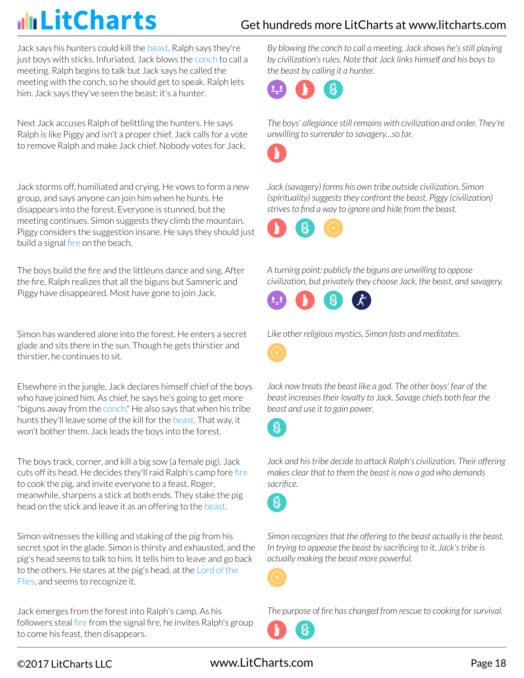## Get hundreds more LitCharts at [www.litcharts.com](https://www.litcharts.com/)

Jack says his hunters could kill the beast. Ralph says they're just boys with sticks. Infuriated, Jack blows the conch to call a meeting. Ralph begins to talk but Jack says he called the meeting with the conch, so he should get to speak. Ralph lets him. Jack says they've seen the beast: it's a hunter.

Next Jack accuses Ralph of belittling the hunters. He says Ralph is like Piggy and isn't a proper chief. Jack calls for a vote to remove Ralph and make Jack chief. Nobody votes for Jack.

Jack storms off, humiliated and crying. He vows to form a new group, and says anyone can join him when he hunts. He disappears into the forest. Everyone is stunned, but the meeting continues. Simon suggests they climb the mountain. Piggy considers the suggestion insane. He says they should just build a signal fire on the beach.

The boys build the fire and the littleuns dance and sing. After the fire, Ralph realizes that all the biguns but Samneric and Piggy have disappeared. Most have gone to join Jack.

Simon has wandered alone into the forest. He enters a secret glade and sits there in the sun. Though he gets thirstier and thirstier, he continues to sit.

Elsewhere in the jungle, Jack declares himself chief of the boys who have joined him. As chief, he says he's going to get more "biguns away from the conch." He also says that when his tribe hunts they'll leave some of the kill for the beast. That way, it won't bother them. Jack leads the boys into the forest.

The boys track, corner, and kill a big sow (a female pig). Jack cuts off its head. He decides they'll raid Ralph's camp fore fire to cook the pig, and invite everyone to a feast. Roger, meanwhile, sharpens a stick at both ends. They stake the pig head on the stick and leave it as an offering to the beast.

Simon witnesses the killing and staking of the pig from his secret spot in the glade. Simon is thirsty and exhausted, and the pig's head seems to talk to him. It tells him to leave and go back to the others. He stares at the pig's head, at the Lord of the Flies, and seems to recognize it.

Jack emerges from the forest into Ralph's camp. As his followers steal fire from the signal fire, he invites Ralph's group to come his feast, then disappears.

*By blowing the conch to call a meeting, Jack shows he's still playing by civilization's rules. Note that Jack links himself and his boys to the beast by calling it a hunter.*



*The boys' allegiance still remains with civilization and order. They're unwilling to surrender to savagery…so far.*



*Jack (savagery) forms his own tribe outside civilization. Simon (spirituality) suggests they confront the beast. Piggy (civilization) strives to find a way to ignore and hide from the beast.*



*A turning point: publicly the biguns are unwilling to oppose civilization, but privately they choose Jack, the beast, and savagery.*



*Like other religious mystics, Simon fasts and meditates.*

*Jack now treats the beast like a god. The other boys' fear of the beast increases their loyalty to Jack. Savage chiefs both fear the beast and use it to gain power.*

8

*Jack and his tribe decide to attack Ralph's civilization. Their offering makes clear that to them the beast is now a god who demands sacrifice.*



*Simon recognizes that the offering to the beast actually is the beast. In trying to appease the beast by sacrificing to it, Jack's tribe is actually making the beast more powerful.*



*The purpose of fire has changed from rescue to cooking for survival.*



## ©2017 LitCharts LLC www.LitCharts.com Page 18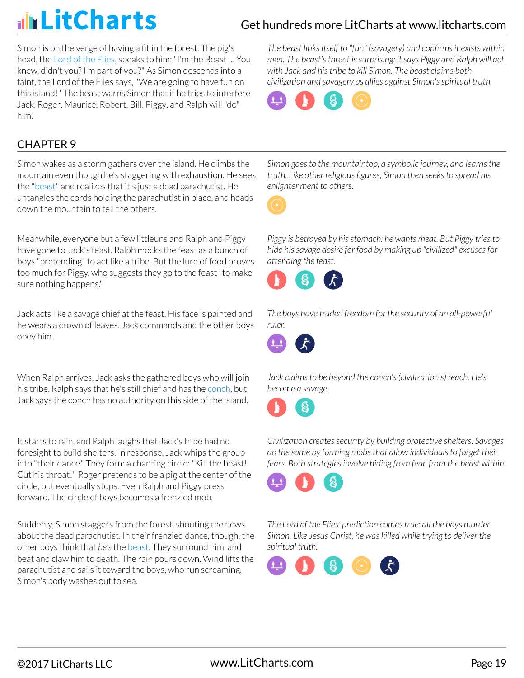## Get hundreds more LitCharts at [www.litcharts.com](https://www.litcharts.com/)

Simon is on the verge of having a fit in the forest. The pig's head, the Lord of the Flies, speaks to him: "I'm the Beast … You knew, didn't you? I'm part of you?" As Simon descends into a faint, the Lord of the Flies says, "We are going to have fun on this island!" The beast warns Simon that if he tries to interfere Jack, Roger, Maurice, Robert, Bill, Piggy, and Ralph will "do" him.

*The beast links itself to "fun" (savagery) and confirms it exists within men. The beast's threat is surprising: it says Piggy and Ralph will act with Jack and his tribe to kill Simon. The beast claims both civilization and savagery as allies against Simon's spiritual truth.*



### CHAPTER 9

Simon wakes as a storm gathers over the island. He climbs the mountain even though he's staggering with exhaustion. He sees the "beast" and realizes that it's just a dead parachutist. He untangles the cords holding the parachutist in place, and heads down the mountain to tell the others.

Meanwhile, everyone but a few littleuns and Ralph and Piggy have gone to Jack's feast. Ralph mocks the feast as a bunch of boys "pretending" to act like a tribe. But the lure of food proves too much for Piggy, who suggests they go to the feast "to make sure nothing happens."

Jack acts like a savage chief at the feast. His face is painted and he wears a crown of leaves. Jack commands and the other boys obey him.

When Ralph arrives, Jack asks the gathered boys who will join his tribe. Ralph says that he's still chief and has the conch, but Jack says the conch has no authority on this side of the island.

It starts to rain, and Ralph laughs that Jack's tribe had no foresight to build shelters. In response, Jack whips the group into "their dance." They form a chanting circle: "Kill the beast! Cut his throat!" Roger pretends to be a pig at the center of the circle, but eventually stops. Even Ralph and Piggy press forward. The circle of boys becomes a frenzied mob.

Suddenly, Simon staggers from the forest, shouting the news about the dead parachutist. In their frenzied dance, though, the other boys think that *he's* the beast. They surround him, and beat and claw him to death. The rain pours down. Wind lifts the parachutist and sails it toward the boys, who run screaming. Simon's body washes out to sea.

*Simon goes to the mountaintop, a symbolic journey, and learns the truth. Like other religious figures, Simon then seeks to spread his enlightenment to others.*

*Piggy is betrayed by his stomach: he wants meat. But Piggy tries to hide his savage desire for food by making up "civilized" excuses for attending the feast.*



*The boys have traded freedom for the security of an all-powerful ruler.*



*Jack claims to be beyond the conch's (civilization's) reach. He's become a savage.*



*Civilization creates security by building protective shelters. Savages do the same by forming mobs that allow individuals to forget their fears. Both strategies involve hiding from fear, from the beast within.*



*The Lord of the Flies' prediction comes true: all the boys murder Simon. Like Jesus Christ, he was killed while trying to deliver the spiritual truth.*

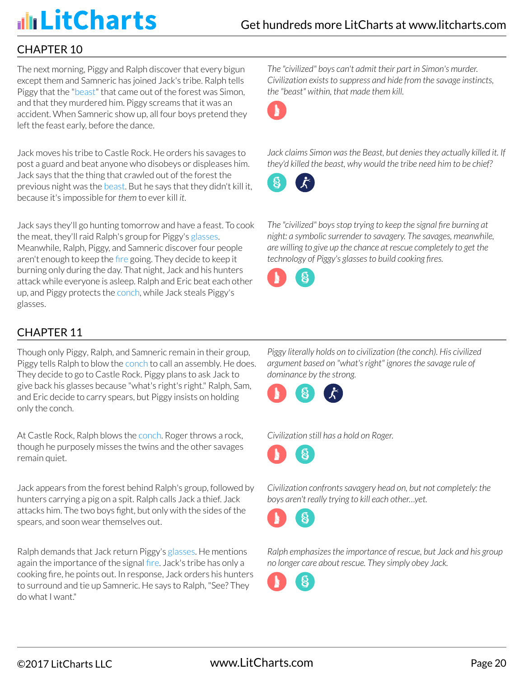### CHAPTER 10

The next morning, Piggy and Ralph discover that every bigun except them and Samneric has joined Jack's tribe. Ralph tells Piggy that the "beast" that came out of the forest was Simon, and that they murdered him. Piggy screams that it was an accident. When Samneric show up, all four boys pretend they left the feast early, before the dance.

Jack moves his tribe to Castle Rock. He orders his savages to post a guard and beat anyone who disobeys or displeases him. Jack says that the thing that crawled out of the forest the previous night was the beast. But he says that they didn't kill it, because it's impossible for *them* to ever kill *it*.

Jack says they'll go hunting tomorrow and have a feast. To cook the meat, they'll raid Ralph's group for Piggy's glasses. Meanwhile, Ralph, Piggy, and Samneric discover four people aren't enough to keep the fire going. They decide to keep it burning only during the day. That night, Jack and his hunters attack while everyone is asleep. Ralph and Eric beat each other up, and Piggy protects the conch, while Jack steals Piggy's glasses.

*The "civilized" boys can't admit their part in Simon's murder. Civilization exists to suppress and hide from the savage instincts, the "beast" within, that made them kill.*



*Jack claims Simon was the Beast, but denies they actually killed it. If they'd killed the beast, why would the tribe need him to be chief?*



*The "civilized" boys stop trying to keep the signal fire burning at night: a symbolic surrender to savagery. The savages, meanwhile, are willing to give up the chance at rescue completely to get the technology of Piggy's glasses to build cooking fires.*



## CHAPTER 11

Though only Piggy, Ralph, and Samneric remain in their group, Piggy tells Ralph to blow the conch to call an assembly. He does. They decide to go to Castle Rock. Piggy plans to ask Jack to give back his glasses because "what's right's right." Ralph, Sam, and Eric decide to carry spears, but Piggy insists on holding only the conch.

At Castle Rock, Ralph blows the conch. Roger throws a rock, though he purposely misses the twins and the other savages remain quiet.

Jack appears from the forest behind Ralph's group, followed by hunters carrying a pig on a spit. Ralph calls Jack a thief. Jack attacks him. The two boys fight, but only with the sides of the spears, and soon wear themselves out.

Ralph demands that Jack return Piggy's glasses. He mentions again the importance of the signal fire. Jack's tribe has only a cooking fire, he points out. In response, Jack orders his hunters to surround and tie up Samneric. He says to Ralph, "See? They do what I want."

*Piggy literally holds on to civilization (the conch). His civilized argument based on "what's right" ignores the savage rule of dominance by the strong.*



*Civilization still has a hold on Roger.*



*Civilization confronts savagery head on, but not completely: the boys aren't really trying to kill each other…yet.*

*Ralph emphasizes the importance of rescue, but Jack and his group no longer care about rescue. They simply obey Jack.*

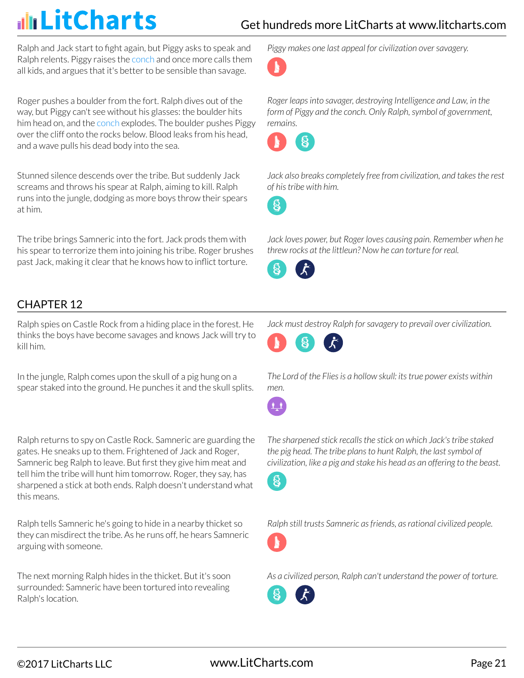Ralph and Jack start to fight again, but Piggy asks to speak and Ralph relents. Piggy raises the conch and once more calls them all kids, and argues that it's better to be sensible than savage.

Roger pushes a boulder from the fort. Ralph dives out of the way, but Piggy can't see without his glasses: the boulder hits him head on, and the conch explodes. The boulder pushes Piggy over the cliff onto the rocks below. Blood leaks from his head, and a wave pulls his dead body into the sea.

Stunned silence descends over the tribe. But suddenly Jack screams and throws his spear at Ralph, aiming to kill. Ralph runs into the jungle, dodging as more boys throw their spears at him.

The tribe brings Samneric into the fort. Jack prods them with his spear to terrorize them into joining his tribe. Roger brushes past Jack, making it clear that he knows how to inflict torture.

*Piggy makes one last appeal for civilization over savagery.*



*Roger leaps into savager, destroying Intelligence and Law, in the form of Piggy and the conch. Only Ralph, symbol of government, remains.*



*Jack also breaks completely free from civilization, and takes the rest of his tribe with him.*

8

*Jack loves power, but Roger loves causing pain. Remember when he threw rocks at the littleun? Now he can torture for real.*



### CHAPTER 12

Ralph spies on Castle Rock from a hiding place in the forest. He thinks the boys have become savages and knows Jack will try to kill him.

In the jungle, Ralph comes upon the skull of a pig hung on a spear staked into the ground. He punches it and the skull splits.

Ralph returns to spy on Castle Rock. Samneric are guarding the gates. He sneaks up to them. Frightened of Jack and Roger, Samneric beg Ralph to leave. But first they give him meat and tell him the tribe will hunt him tomorrow. Roger, they say, has sharpened a stick at both ends. Ralph doesn't understand what this means.

Ralph tells Samneric he's going to hide in a nearby thicket so they can misdirect the tribe. As he runs off, he hears Samneric arguing with someone.

The next morning Ralph hides in the thicket. But it's soon surrounded: Samneric have been tortured into revealing Ralph's location.

*Jack must destroy Ralph for savagery to prevail over civilization.*



*The Lord of the Flies is a hollow skull: its true power exists within men.*



*The sharpened stick recalls the stick on which Jack's tribe staked the pig head. The tribe plans to hunt Ralph, the last symbol of civilization, like a pig and stake his head as an offering to the beast.*



*Ralph still trusts Samneric as friends, as rational civilized people.*



*As a civilized person, Ralph can't understand the power of torture.*

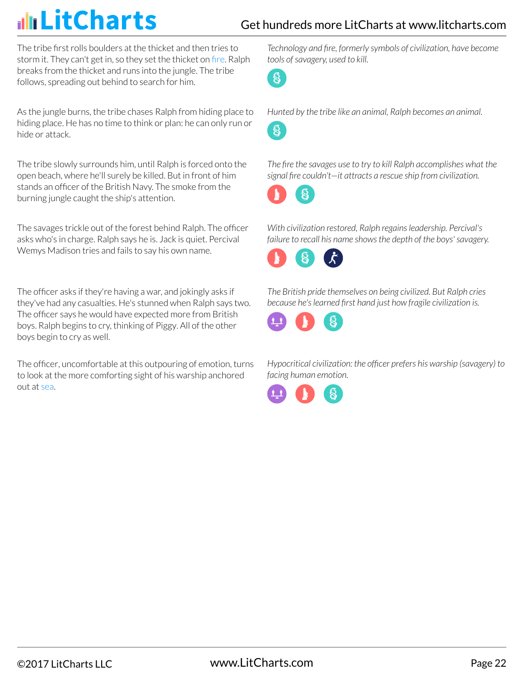### Get hundreds more LitCharts at [www.litcharts.com](https://www.litcharts.com/)

The tribe first rolls boulders at the thicket and then tries to storm it. They can't get in, so they set the thicket on fire. Ralph breaks from the thicket and runs into the jungle. The tribe follows, spreading out behind to search for him.

As the jungle burns, the tribe chases Ralph from hiding place to hiding place. He has no time to think or plan: he can only run or hide or attack.

The tribe slowly surrounds him, until Ralph is forced onto the open beach, where he'll surely be killed. But in front of him stands an officer of the British Navy. The smoke from the burning jungle caught the ship's attention.

The savages trickle out of the forest behind Ralph. The officer asks who's in charge. Ralph says he is. Jack is quiet. Percival Wemys Madison tries and fails to say his own name.

The officer asks if they're having a war, and jokingly asks if they've had any casualties. He's stunned when Ralph says two. The officer says he would have expected more from British boys. Ralph begins to cry, thinking of Piggy. All of the other boys begin to cry as well.

The officer, uncomfortable at this outpouring of emotion, turns to look at the more comforting sight of his warship anchored out at sea.

*Technology and fire, formerly symbols of civilization, have become tools of savagery, used to kill.*

 $\delta$ 



8

*The fire the savages use to try to kill Ralph accomplishes what the signal fire couldn't—it attracts a rescue ship from civilization.*

*With civilization restored, Ralph regains leadership. Percival's failure to recall his name shows the depth of the boys' savagery.*



*The British pride themselves on being civilized. But Ralph cries because he's learned first hand just how fragile civilization is.*



*Hypocritical civilization: the officer prefers his warship (savagery) to facing human emotion.*